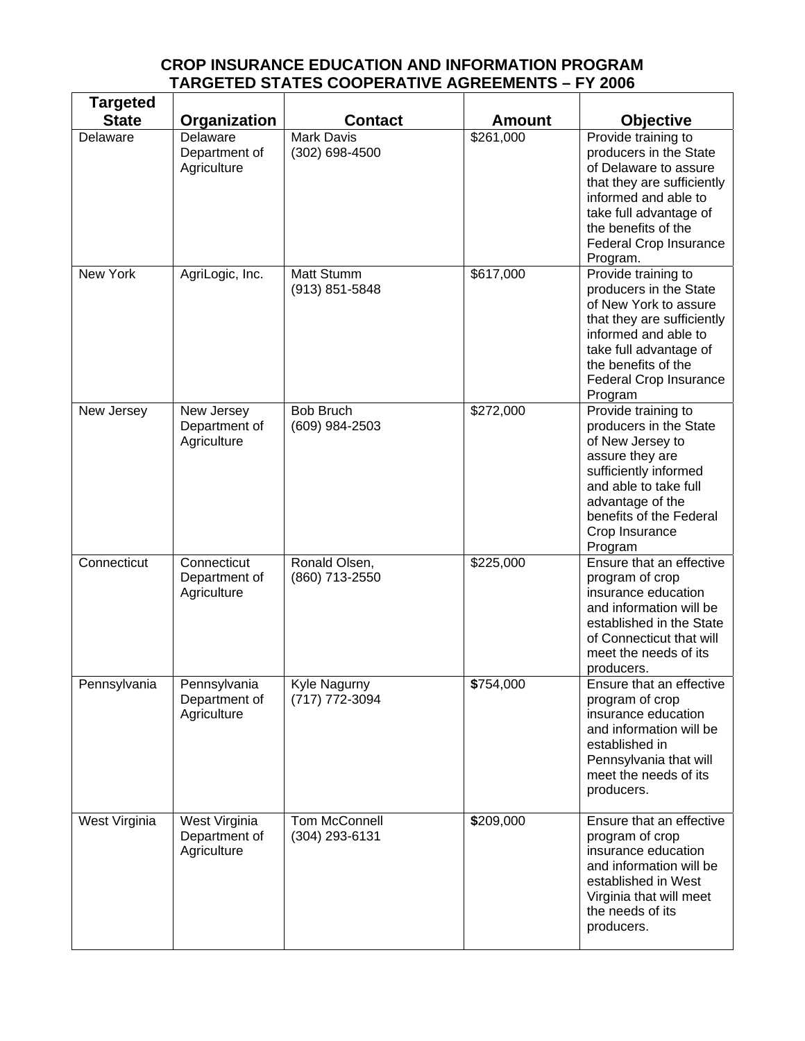## **CROP INSURANCE EDUCATION AND INFORMATION PROGRAM TARGETED STATES COOPERATIVE AGREEMENTS – FY 2006**

| <b>Targeted</b> |                                               |                                       |               |                                                                                                                                                                                                                     |
|-----------------|-----------------------------------------------|---------------------------------------|---------------|---------------------------------------------------------------------------------------------------------------------------------------------------------------------------------------------------------------------|
| <b>State</b>    | Organization                                  | <b>Contact</b>                        | <b>Amount</b> | <b>Objective</b>                                                                                                                                                                                                    |
| Delaware        | Delaware<br>Department of<br>Agriculture      | <b>Mark Davis</b><br>$(302)$ 698-4500 | \$261,000     | Provide training to<br>producers in the State<br>of Delaware to assure<br>that they are sufficiently<br>informed and able to<br>take full advantage of<br>the benefits of the<br>Federal Crop Insurance<br>Program. |
| New York        | AgriLogic, Inc.                               | Matt Stumm<br>(913) 851-5848          | \$617,000     | Provide training to<br>producers in the State<br>of New York to assure<br>that they are sufficiently<br>informed and able to<br>take full advantage of<br>the benefits of the<br>Federal Crop Insurance<br>Program  |
| New Jersey      | New Jersey<br>Department of<br>Agriculture    | <b>Bob Bruch</b><br>(609) 984-2503    | \$272,000     | Provide training to<br>producers in the State<br>of New Jersey to<br>assure they are<br>sufficiently informed<br>and able to take full<br>advantage of the<br>benefits of the Federal<br>Crop Insurance<br>Program  |
| Connecticut     | Connecticut<br>Department of<br>Agriculture   | Ronald Olsen,<br>(860) 713-2550       | \$225,000     | Ensure that an effective<br>program of crop<br>insurance education<br>and information will be<br>established in the State<br>of Connecticut that will<br>meet the needs of its<br>producers.                        |
| Pennsylvania    | Pennsylvania<br>Department of<br>Agriculture  | Kyle Nagurny<br>(717) 772-3094        | \$754,000     | Ensure that an effective<br>program of crop<br>insurance education<br>and information will be<br>established in<br>Pennsylvania that will<br>meet the needs of its<br>producers.                                    |
| West Virginia   | West Virginia<br>Department of<br>Agriculture | Tom McConnell<br>(304) 293-6131       | \$209,000     | Ensure that an effective<br>program of crop<br>insurance education<br>and information will be<br>established in West<br>Virginia that will meet<br>the needs of its<br>producers.                                   |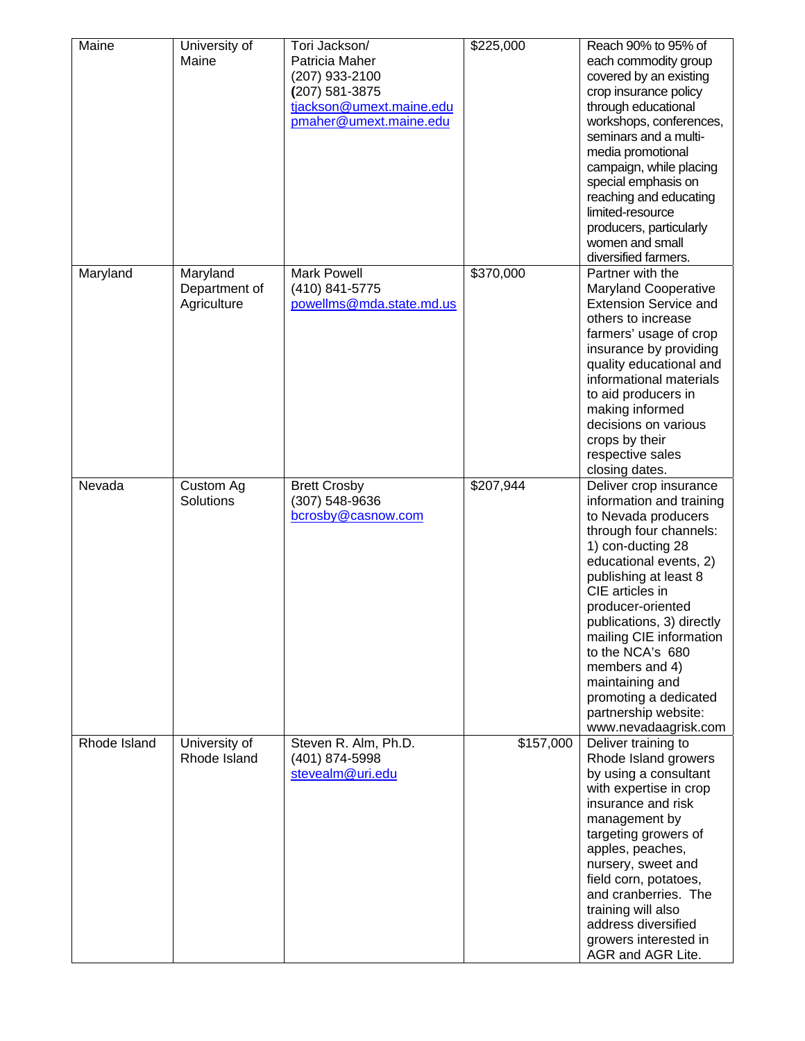| Maine        | University of<br>Maine                   | Tori Jackson/<br>Patricia Maher<br>(207) 933-2100<br>(207) 581-3875<br>tjackson@umext.maine.edu<br>pmaher@umext.maine.edu | \$225,000 | Reach 90% to 95% of<br>each commodity group<br>covered by an existing<br>crop insurance policy<br>through educational<br>workshops, conferences,<br>seminars and a multi-<br>media promotional<br>campaign, while placing<br>special emphasis on<br>reaching and educating<br>limited-resource<br>producers, particularly<br>women and small<br>diversified farmers.                                          |
|--------------|------------------------------------------|---------------------------------------------------------------------------------------------------------------------------|-----------|---------------------------------------------------------------------------------------------------------------------------------------------------------------------------------------------------------------------------------------------------------------------------------------------------------------------------------------------------------------------------------------------------------------|
| Maryland     | Maryland<br>Department of<br>Agriculture | <b>Mark Powell</b><br>(410) 841-5775<br>powellms@mda.state.md.us                                                          | \$370,000 | Partner with the<br><b>Maryland Cooperative</b><br><b>Extension Service and</b><br>others to increase<br>farmers' usage of crop<br>insurance by providing<br>quality educational and<br>informational materials<br>to aid producers in<br>making informed<br>decisions on various<br>crops by their<br>respective sales<br>closing dates.                                                                     |
| Nevada       | Custom Ag<br>Solutions                   | <b>Brett Crosby</b><br>(307) 548-9636<br>bcrosby@casnow.com                                                               | \$207,944 | Deliver crop insurance<br>information and training<br>to Nevada producers<br>through four channels:<br>1) con-ducting 28<br>educational events, 2)<br>publishing at least 8<br>CIE articles in<br>producer-oriented<br>publications, 3) directly<br>mailing CIE information<br>to the NCA's 680<br>members and 4)<br>maintaining and<br>promoting a dedicated<br>partnership website:<br>www.nevadaagrisk.com |
| Rhode Island | University of<br>Rhode Island            | Steven R. Alm, Ph.D.<br>(401) 874-5998<br>stevealm@uri.edu                                                                | \$157,000 | Deliver training to<br>Rhode Island growers<br>by using a consultant<br>with expertise in crop<br>insurance and risk<br>management by<br>targeting growers of<br>apples, peaches,<br>nursery, sweet and<br>field corn, potatoes,<br>and cranberries. The<br>training will also<br>address diversified<br>growers interested in<br>AGR and AGR Lite.                                                           |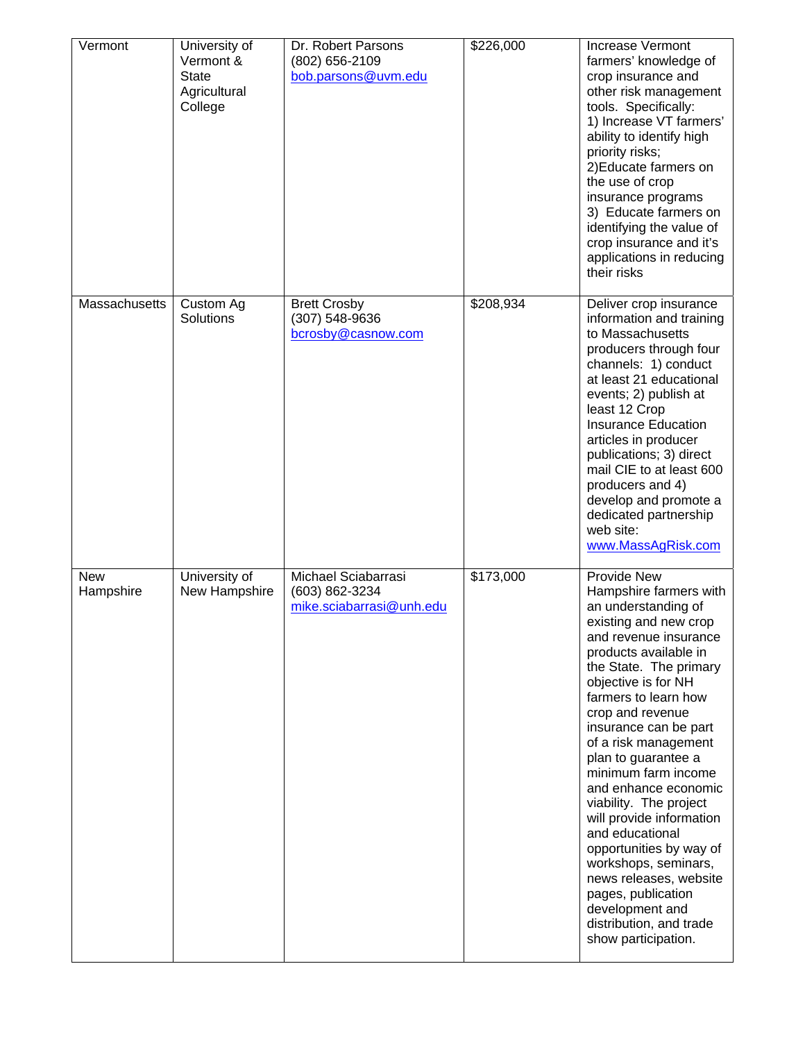| Vermont                 | University of<br>Vermont &<br><b>State</b><br>Agricultural<br>College | Dr. Robert Parsons<br>(802) 656-2109<br>bob.parsons@uvm.edu       | \$226,000 | Increase Vermont<br>farmers' knowledge of<br>crop insurance and<br>other risk management<br>tools. Specifically:<br>1) Increase VT farmers'<br>ability to identify high<br>priority risks;<br>2) Educate farmers on<br>the use of crop<br>insurance programs<br>3) Educate farmers on<br>identifying the value of<br>crop insurance and it's<br>applications in reducing<br>their risks                                                                                                                                                                                                                      |
|-------------------------|-----------------------------------------------------------------------|-------------------------------------------------------------------|-----------|--------------------------------------------------------------------------------------------------------------------------------------------------------------------------------------------------------------------------------------------------------------------------------------------------------------------------------------------------------------------------------------------------------------------------------------------------------------------------------------------------------------------------------------------------------------------------------------------------------------|
| Massachusetts           | Custom Ag<br>Solutions                                                | <b>Brett Crosby</b><br>(307) 548-9636<br>bcrosby@casnow.com       | \$208,934 | Deliver crop insurance<br>information and training<br>to Massachusetts<br>producers through four<br>channels: 1) conduct<br>at least 21 educational<br>events; 2) publish at<br>least 12 Crop<br><b>Insurance Education</b><br>articles in producer<br>publications; 3) direct<br>mail CIE to at least 600<br>producers and 4)<br>develop and promote a<br>dedicated partnership<br>web site:<br>www.MassAgRisk.com                                                                                                                                                                                          |
| <b>New</b><br>Hampshire | University of<br>New Hampshire                                        | Michael Sciabarrasi<br>(603) 862-3234<br>mike.sciabarrasi@unh.edu | \$173,000 | Provide New<br>Hampshire farmers with<br>an understanding of<br>existing and new crop<br>and revenue insurance<br>products available in<br>the State. The primary<br>objective is for NH<br>farmers to learn how<br>crop and revenue<br>insurance can be part<br>of a risk management<br>plan to guarantee a<br>minimum farm income<br>and enhance economic<br>viability. The project<br>will provide information<br>and educational<br>opportunities by way of<br>workshops, seminars,<br>news releases, website<br>pages, publication<br>development and<br>distribution, and trade<br>show participation. |